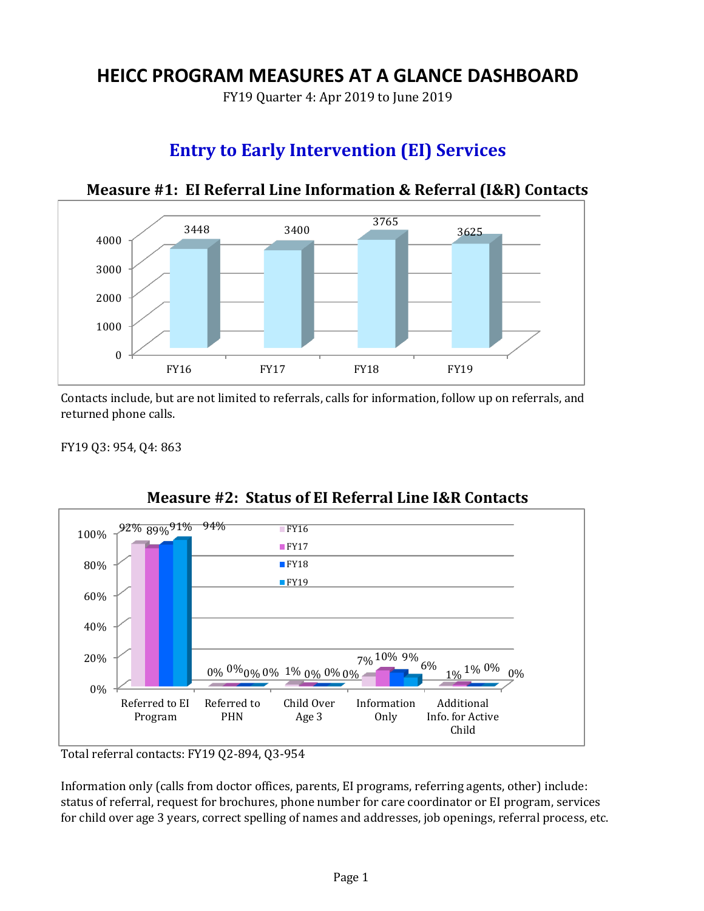# **HEICC PROGRAM MEASURES AT A GLANCE DASHBOARD**

FY19 Quarter 4: Apr 2019 to June 2019

# **Entry to Early Intervention (EI) Services**



## **Measure #1: EI Referral Line Information & Referral (I&R) Contacts**

Contacts include, but are not limited to referrals, calls for information, follow up on referrals, and returned phone calls.

FY19 Q3: 954, Q4: 863



**Measure #2: Status of EI Referral Line I&R Contacts**

Total referral contacts: FY19 Q2-894, Q3-954

Information only (calls from doctor offices, parents, EI programs, referring agents, other) include: status of referral, request for brochures, phone number for care coordinator or EI program, services for child over age 3 years, correct spelling of names and addresses, job openings, referral process, etc.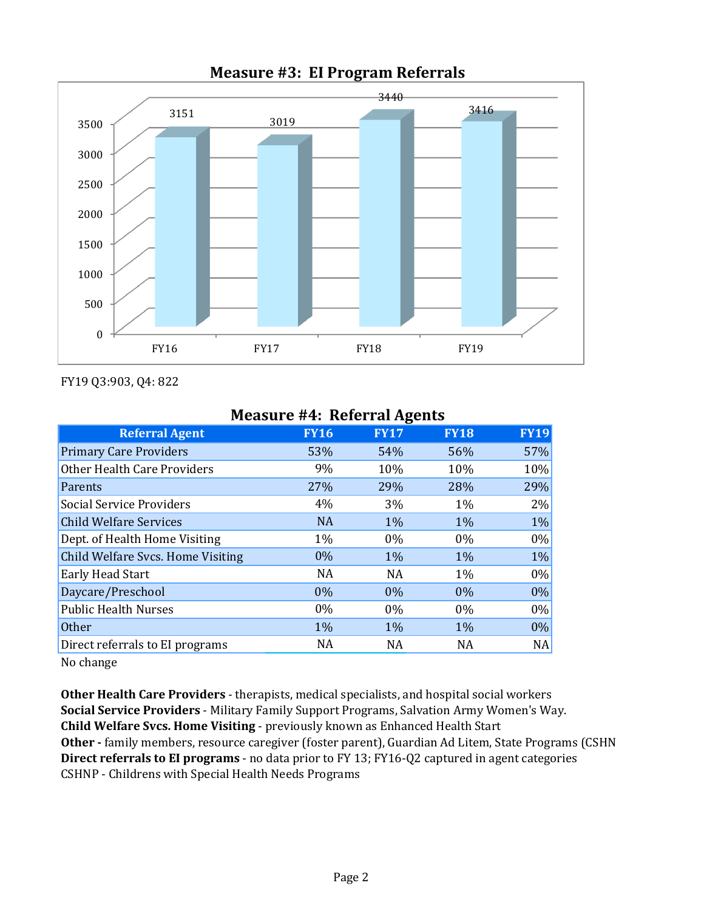

## **Measure #3: EI Program Referrals**

FY19 Q3:903, Q4: 822

| <b>Measure #4: Referral Agents</b> |             |             |             |             |  |  |  |
|------------------------------------|-------------|-------------|-------------|-------------|--|--|--|
| <b>Referral Agent</b>              | <b>FY16</b> | <b>FY17</b> | <b>FY18</b> | <b>FY19</b> |  |  |  |
| <b>Primary Care Providers</b>      | 53%         | 54%         | 56%         | 57%         |  |  |  |
| <b>Other Health Care Providers</b> | 9%          | 10%         | 10%         | 10%         |  |  |  |
| Parents                            | 27%         | 29%         | 28%         | 29%         |  |  |  |
| <b>Social Service Providers</b>    | 4%          | 3%          | $1\%$       | $2\%$       |  |  |  |
| <b>Child Welfare Services</b>      | <b>NA</b>   | 1%          | 1%          | 1%          |  |  |  |
| Dept. of Health Home Visiting      | 1%          | $0\%$       | $0\%$       | $0\%$       |  |  |  |
| Child Welfare Svcs. Home Visiting  | 0%          | 1%          | 1%          | $1\%$       |  |  |  |
| <b>Early Head Start</b>            | NA          | <b>NA</b>   | 1%          | $0\%$       |  |  |  |
| Daycare/Preschool                  | $0\%$       | $0\%$       | $0\%$       | $0\%$       |  |  |  |
| <b>Public Health Nurses</b>        | $0\%$       | $0\%$       | $0\%$       | $0\%$       |  |  |  |
| <b>Other</b>                       | 1%          | 1%          | 1%          | 0%          |  |  |  |
| Direct referrals to EI programs    | <b>NA</b>   | NA          | <b>NA</b>   | NA          |  |  |  |
|                                    |             |             |             |             |  |  |  |

## **Measure #4: Referral Agents**

No change

**Other Health Care Providers** - therapists, medical specialists, and hospital social workers **Social Service Providers** - Military Family Support Programs, Salvation Army Women's Way. **Child Welfare Svcs. Home Visiting** - previously known as Enhanced Health Start Other - family members, resource caregiver (foster parent), Guardian Ad Litem, State Programs (CSHN **Direct referrals to EI programs** - no data prior to FY 13; FY16-Q2 captured in agent categories CSHNP - Childrens with Special Health Needs Programs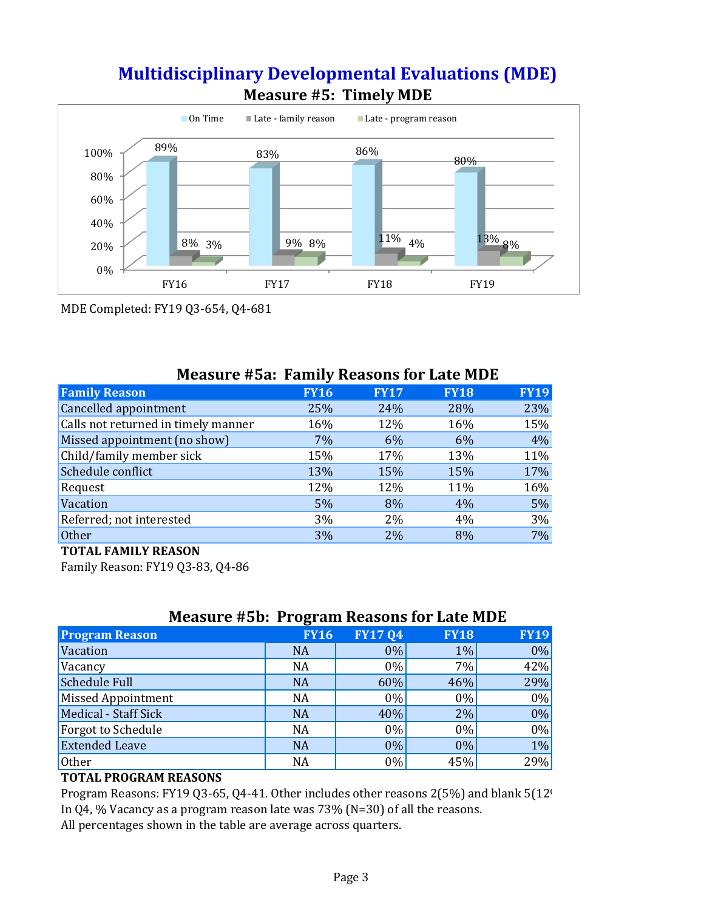# **Multidisciplinary Developmental Evaluations (MDE) Measure #5: Timely MDE**



MDE Completed: FY19 Q3-654, Q4-681

| <b>FY16</b> | <b>FY17</b> | <b>FY18</b> | <b>FY19</b>                              |
|-------------|-------------|-------------|------------------------------------------|
| 25%         | 24%         | 28%         | 23%                                      |
| 16%         | 12%         | 16%         | 15%                                      |
| 7%          | 6%          | 6%          | 4%                                       |
| 15%         | 17%         | 13%         | 11%                                      |
| 13%         | 15%         | 15%         | 17%                                      |
| 12%         | 12%         | 11%         | 16%                                      |
| 5%          | 8%          | 4%          | 5%                                       |
| 3%          | $2\%$       | 4%          | 3%                                       |
| 3%          | 2%          | 8%          | 7%                                       |
|             |             |             | Measure #5a: Family Reasons for Late MDE |

### **Measure #5a: Family Reasons for Late MDE**

#### **TOTAL FAMILY REASON**

Family Reason: FY19 Q3-83, Q4-86

| <b>Measure #5b: Program Reasons for Late MDE</b> |  |
|--------------------------------------------------|--|
|--------------------------------------------------|--|

|                           | ີ           |                |             |             |
|---------------------------|-------------|----------------|-------------|-------------|
| <b>Program Reason</b>     | <b>FY16</b> | <b>FY17 Q4</b> | <b>FY18</b> | <b>FY19</b> |
| Vacation                  | <b>NA</b>   | $0\%$          | 1%          | $0\%$       |
| Vacancy                   | <b>NA</b>   | $0\%$          | 7%          | 42%         |
| Schedule Full             | <b>NA</b>   | 60%            | 46%         | 29%         |
| Missed Appointment        | <b>NA</b>   | $0\%$          | $0\%$       | $0\%$       |
| Medical - Staff Sick      | <b>NA</b>   | 40%            | 2%          | $0\%$       |
| <b>Forgot to Schedule</b> | <b>NA</b>   | $0\%$          | $0\%$       | $0\%$       |
| <b>Extended Leave</b>     | <b>NA</b>   | $0\%$          | 0%          | $1\%$       |
| Other                     | <b>NA</b>   | $0\%$          | 45%         | 29%         |

#### **TOTAL PROGRAM REASONS**

In Q4, % Vacancy as a program reason late was 73% (N=30) of all the reasons. All percentages shown in the table are average across quarters. Program Reasons: FY19 Q3-65, Q4-41. Other includes other reasons 2(5%) and blank 5(12<sup>t</sup>).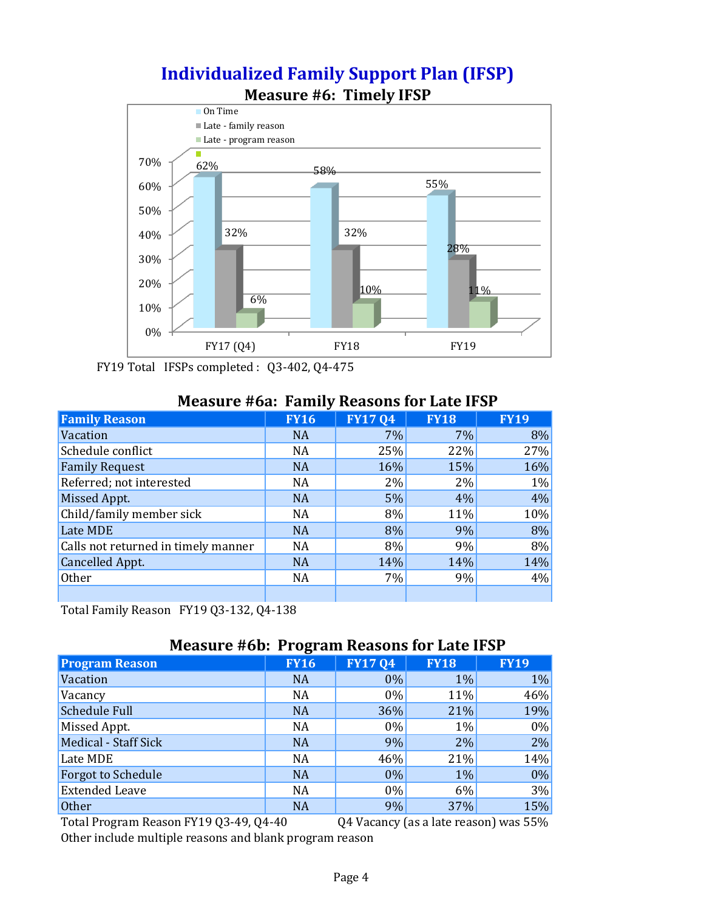

# **Individualized Family Support Plan (IFSP)**

FY19 Total IFSPs completed : Q3-402, Q4-475

#### **Measure #6a: Family Reasons for Late IFSP**

| <b>Family Reason</b>                | <b>FY16</b> | <b>FY1704</b> | <b>FY18</b> | <b>FY19</b> |
|-------------------------------------|-------------|---------------|-------------|-------------|
| Vacation                            | <b>NA</b>   | 7%            | $7\%$       | 8%          |
| Schedule conflict                   | <b>NA</b>   | 25%           | 22%         | 27%         |
| <b>Family Request</b>               | <b>NA</b>   | 16%           | 15%         | 16%         |
| Referred; not interested            | <b>NA</b>   | 2%            | 2%          | 1%          |
| Missed Appt.                        | <b>NA</b>   | 5%            | 4%          | 4%          |
| Child/family member sick            | <b>NA</b>   | 8%            | 11%         | 10%         |
| Late MDE                            | <b>NA</b>   | 8%            | 9%          | 8%          |
| Calls not returned in timely manner | <b>NA</b>   | 8%            | 9%          | 8%          |
| <b>Cancelled Appt.</b>              | <b>NA</b>   | 14%           | 14%         | 14%         |
| Other                               | <b>NA</b>   | 7%            | 9%          | 4%          |
|                                     |             |               |             |             |

Total Family Reason FY19 Q3-132, Q4-138

#### **Measure #6b: Program Reasons for Late IFSP**

| <b>Program Reason</b>       | <b>FY16</b> | <b>FY1704</b> | <b>FY18</b> | <b>FY19</b> |
|-----------------------------|-------------|---------------|-------------|-------------|
| Vacation                    | <b>NA</b>   | $0\%$         | 1%          | $1\%$       |
| Vacancy                     | <b>NA</b>   | $0\%$         | 11%         | 46%         |
| <b>Schedule Full</b>        | <b>NA</b>   | 36%           | 21%         | 19%         |
| Missed Appt.                | <b>NA</b>   | $0\%$         | $1\%$       | $0\%$       |
| <b>Medical - Staff Sick</b> | <b>NA</b>   | 9%            | 2%          | $2\%$       |
| Late MDE                    | <b>NA</b>   | 46%           | 21%         | 14%         |
| <b>Forgot to Schedule</b>   | <b>NA</b>   | $0\%$         | 1%          | $0\%$       |
| <b>Extended Leave</b>       | <b>NA</b>   | $0\%$         | 6%          | $3\%$       |
| <b>Other</b>                | <b>NA</b>   | 9%            | 37%         | 15%         |

Total Program Reason FY19 Q3-49, Q4-40 Q4 Vacancy (as a late reason) was 55%

Other include multiple reasons and blank program reason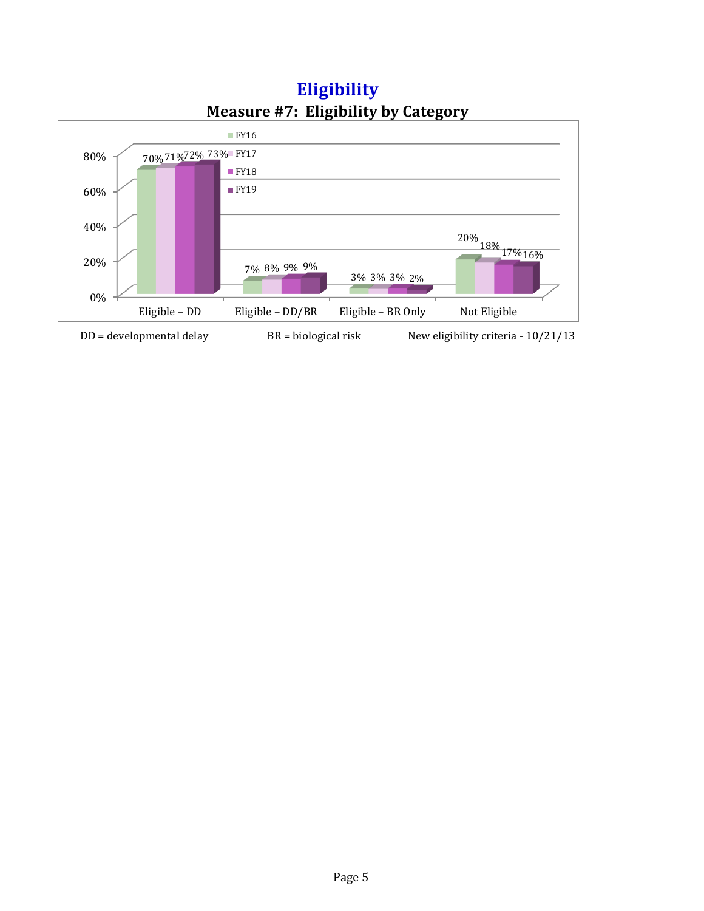

**Measure #7: Eligibility by Category Eligibility**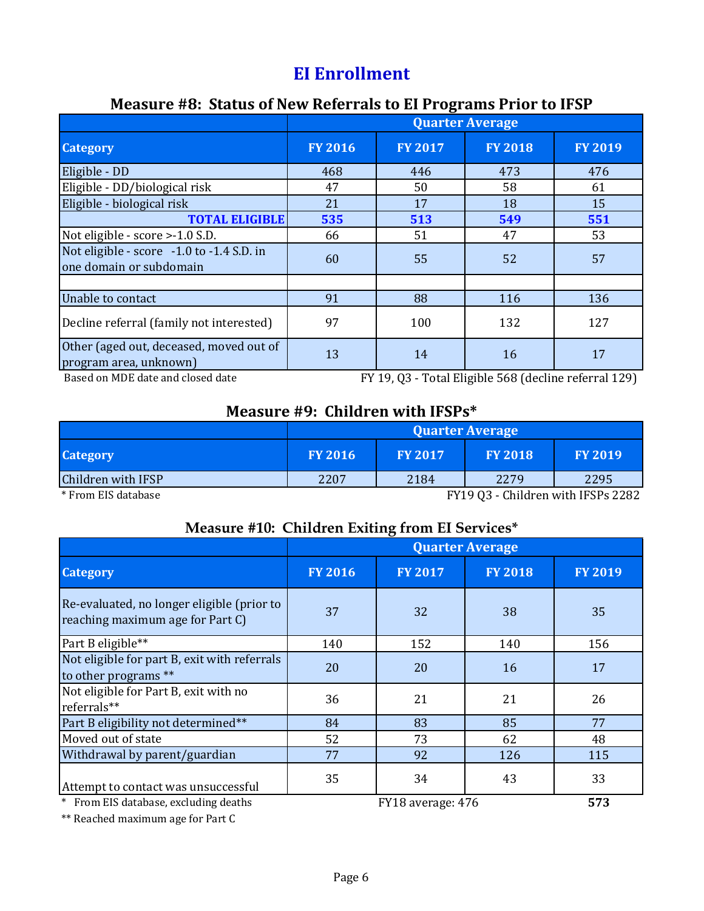# **EI Enrollment**

## **Measure #8: Status of New Referrals to EI Programs Prior to IFSP**

|                                                                      | <b>Quarter Average</b> |                |                |                |  |
|----------------------------------------------------------------------|------------------------|----------------|----------------|----------------|--|
| <b>Category</b>                                                      | <b>FY 2016</b>         | <b>FY 2017</b> | <b>FY 2018</b> | <b>FY 2019</b> |  |
| Eligible - DD                                                        | 468                    | 446            | 473            | 476            |  |
| Eligible - DD/biological risk                                        | 47                     | 50             | 58             | 61             |  |
| Eligible - biological risk                                           | 21                     | 17             | 18             | 15             |  |
| <b>TOTAL ELIGIBLE</b>                                                | 535                    | 513            | 549            | 551            |  |
| Not eligible - score > -1.0 S.D.                                     | 66                     | 51             | 47             | 53             |  |
| Not eligible - score -1.0 to -1.4 S.D. in<br>one domain or subdomain | 60                     | 55             | 52             | 57             |  |
|                                                                      |                        |                |                |                |  |
| Unable to contact                                                    | 91                     | 88             | 116            | 136            |  |
| Decline referral (family not interested)                             | 97                     | 100            | 132            | 127            |  |
| Other (aged out, deceased, moved out of<br>program area, unknown)    | 13                     | 14             | 16             | 17             |  |

Based on MDE date and closed date

FY 19, Q3 - Total Eligible 568 (decline referral 129)

## **Measure #9: Children with IFSPs\***

|                              | <b>Quarter Average</b> |                |                |                            |  |  |
|------------------------------|------------------------|----------------|----------------|----------------------------|--|--|
| <b>Category</b>              | <b>FY 2016</b>         | <b>FY 2017</b> | <b>FY 2018</b> | <b>FY 2019</b>             |  |  |
| Children with IFSP           | 2207                   | 2184           | 2279           | 2295                       |  |  |
| $\sim$ $\sim$ $\sim$<br>$-1$ |                        |                | T11200000111   | $\cdots$ $\cdots$ $\cdots$ |  |  |

\* From EIS database

FY19 Q3 - Children with IFSPs 2282

#### **Measure #10: Children Exiting from EI Services\***

|                                                                                | <b>Quarter Average</b> |                   |                |                |  |  |
|--------------------------------------------------------------------------------|------------------------|-------------------|----------------|----------------|--|--|
| <b>Category</b>                                                                | <b>FY 2016</b>         | <b>FY 2017</b>    | <b>FY 2018</b> | <b>FY 2019</b> |  |  |
| Re-evaluated, no longer eligible (prior to<br>reaching maximum age for Part C) | 37                     | 32                | 38             | 35             |  |  |
| Part B eligible**                                                              | 140                    | 152               | 140            | 156            |  |  |
| Not eligible for part B, exit with referrals<br>to other programs **           | 20                     | 20                | 16             | 17             |  |  |
| Not eligible for Part B, exit with no<br>referrals**                           | 36                     | 21                | 21             | 26             |  |  |
| Part B eligibility not determined**                                            | 84                     | 83                | 85             | 77             |  |  |
| Moved out of state                                                             | 52                     | 73                | 62             | 48             |  |  |
| Withdrawal by parent/guardian                                                  | 77                     | 92                | 126            | 115            |  |  |
| Attempt to contact was unsuccessful                                            | 35                     | 34                | 43             | 33             |  |  |
| * From EIS database, excluding deaths                                          |                        | FY18 average: 476 |                | 573            |  |  |

\*\* Reached maximum age for Part C